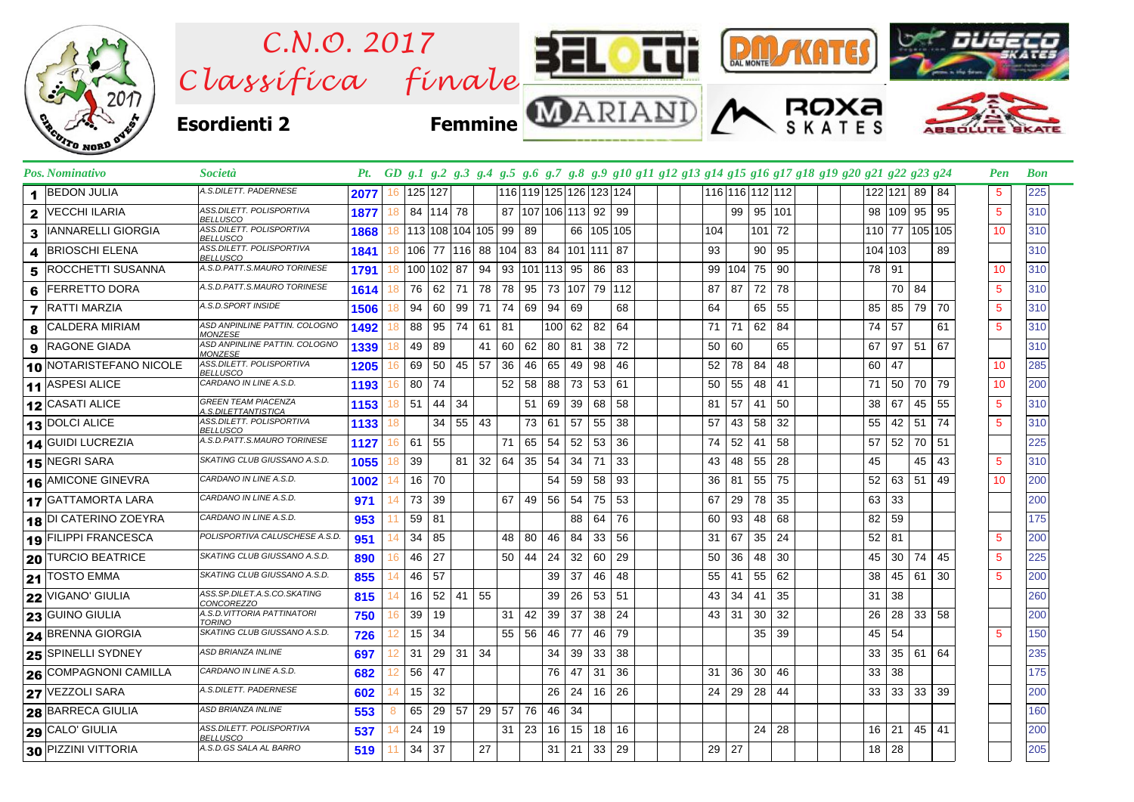

| 12 CASATI ALICE           | <b>GREEN TEAM PIACENZA</b><br>A.S.DILETTANTISTICA | 1153 | 51 | 44 | 34  |    |    | 51 | 69 | 39 | 68 | 58      |  | 81 | 57 | 41 | 50 |  | 38 | 67 | 45    | 55 | 5               | 310 |
|---------------------------|---------------------------------------------------|------|----|----|-----|----|----|----|----|----|----|---------|--|----|----|----|----|--|----|----|-------|----|-----------------|-----|
| 13 DOLCI ALICE            | ASS.DILETT. POLISPORTIVA<br>BELLUSCO              | 1133 |    | 34 | 55  | 43 |    | 73 | 61 | 57 | 55 | 38      |  | 57 | 43 | 58 | 32 |  | 55 | 42 | 51    | 74 | 5               | 310 |
| 14 GUIDI LUCREZIA         | A.S.D.PATT.S.MAURO TORINESE                       | 1127 | 61 | 55 |     |    | 71 | 65 | 54 | 52 | 53 | 36      |  | 74 | 52 | 41 | 58 |  | 57 | 52 | 70 51 |    |                 | 225 |
| 15 NEGRI SARA             | SKATING CLUB GIUSSANO A.S.D.                      | 1055 | 39 |    | 81  | 32 | 64 | 35 | 54 | 34 | 71 | 33      |  | 43 | 48 | 55 | 28 |  | 45 |    | 45    | 43 | 5               | 310 |
| 16 AMICONE GINEVRA        | CARDANO IN LINE A.S.D.                            | 1002 | 16 | 70 |     |    |    |    | 54 | 59 | 58 | 93      |  | 36 | 81 | 55 | 75 |  | 52 | 63 | 51    | 49 | 10              | 200 |
| <b>17 GATTAMORTA LARA</b> | CARDANO IN LINE A.S.D.                            | 971  | 73 | 39 |     |    | 67 | 49 | 56 | 54 |    | 75 53   |  | 67 | 29 | 78 | 35 |  | 63 | 33 |       |    |                 | 200 |
| 18 DI CATERINO ZOEYRA     | CARDANO IN LINE A.S.D.                            | 953  | 59 | 81 |     |    |    |    |    | 88 | 64 | 76      |  | 60 | 93 | 48 | 68 |  | 82 | 59 |       |    |                 | 175 |
| 19 FILIPPI FRANCESCA      | POLISPORTIVA CALUSCHESE A.S.D.                    | 951  | 34 | 85 |     |    | 48 | 80 | 46 | 84 | 33 | 56      |  | 31 | 67 | 35 | 24 |  | 52 | 81 |       |    | 5               | 200 |
| 20 TURCIO BEATRICE        | SKATING CLUB GIUSSANO A.S.D.                      | 890  | 46 | 27 |     |    | 50 | 44 | 24 | 32 | 60 | 29      |  | 50 | 36 | 48 | 30 |  | 45 | 30 | 74    | 45 | $5\phantom{.0}$ | 225 |
| 21 TOSTO EMMA             | SKATING CLUB GIUSSANO A.S.D.                      | 855  | 46 | 57 |     |    |    |    | 39 | 37 | 46 | 48      |  | 55 | 41 | 55 | 62 |  | 38 | 45 | 61    | 30 | 5               | 200 |
| 22 VIGANO' GIULIA         | ASS.SP.DILET.A.S.CO.SKATING<br>CONCOREZZO         | 815  | 16 | 52 | 41  | 55 |    |    | 39 | 26 | 53 | 51      |  | 43 | 34 | 41 | 35 |  | 31 | 38 |       |    |                 | 260 |
| 23 GUINO GIULIA           | A.S.D. VITTORIA PATTINATORI<br><b>TORINO</b>      | 750  | 39 | 19 |     |    | 31 | 42 | 39 | 37 | 38 | 24      |  | 43 | 31 | 30 | 32 |  | 26 | 28 | 33    | 58 |                 | 200 |
| 24 BRENNA GIORGIA         | SKATING CLUB GIUSSANO A.S.D.                      | 726  | 15 | 34 |     |    | 55 | 56 | 46 | 77 | 46 | 79      |  |    |    | 35 | 39 |  | 45 | 54 |       |    | 5               | 150 |
| 25 SPINELLI SYDNEY        | <b>ASD BRIANZA INLINE</b>                         | 697  | 31 | 29 | -31 | 34 |    |    | 34 | 39 | 33 | 38      |  |    |    |    |    |  | 33 | 35 | 61    | 64 |                 | 235 |
| 26 COMPAGNONI CAMILLA     | CARDANO IN LINE A.S.D.                            | 682  | 56 | 47 |     |    |    |    | 76 | 47 | 31 | 36      |  | 31 | 36 | 30 | 46 |  | 33 | 38 |       |    |                 | 175 |
| 27 VEZZOLI SARA           | A.S.DILETT. PADERNESE                             | 602  | 15 | 32 |     |    |    |    | 26 | 24 |    | $16$ 26 |  | 24 | 29 | 28 | 44 |  | 33 | 33 | 33    | 39 |                 | 200 |
| 28 BARRECA GIULIA         | <b>ASD BRIANZA INLINE</b>                         | 553  | 65 | 29 | 57  | 29 | 57 | 76 | 46 | 34 |    |         |  |    |    |    |    |  |    |    |       |    |                 | 160 |
| 29 CALO' GIULIA           | ASS.DILETT. POLISPORTIVA<br><b>BELLUSCO</b>       | 537  | 24 | 19 |     |    | 31 | 23 | 16 | 15 | 18 | 16      |  |    |    | 24 | 28 |  | 16 | 21 | 45    | 41 |                 | 200 |
| 30 PIZZINI VITTORIA       | A.S.D.GS SALA AL BARRO                            | 519  | 34 | 37 |     | 27 |    |    | 31 | 21 | 33 | 29      |  | 29 | 27 |    |    |  | 18 | 28 |       |    |                 | 205 |